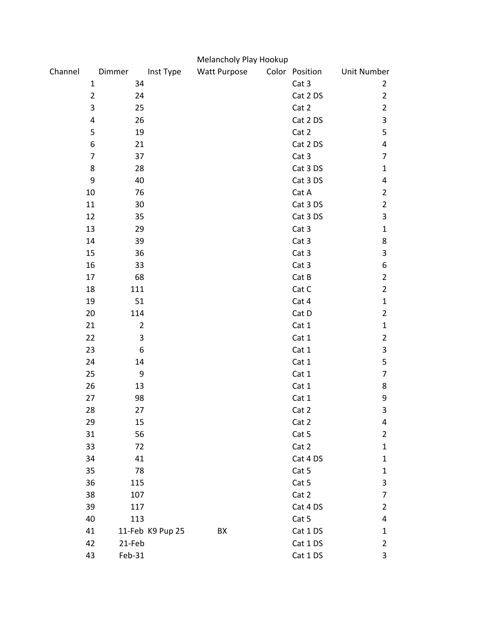|         |                |                |                  | Melancholy Play Hookup |                |             |                |
|---------|----------------|----------------|------------------|------------------------|----------------|-------------|----------------|
| Channel |                | Dimmer         | Inst Type        | <b>Watt Purpose</b>    | Color Position | Unit Number |                |
|         | $\mathbf{1}$   | 34             |                  |                        | Cat 3          |             | $\overline{2}$ |
|         | $\overline{2}$ | 24             |                  |                        | Cat 2 DS       |             | $\overline{2}$ |
|         | 3              | 25             |                  |                        | Cat 2          |             | $\overline{2}$ |
|         | 4              | 26             |                  |                        | Cat 2 DS       |             | 3              |
|         | 5              | 19             |                  |                        | Cat 2          |             | 5              |
|         | 6              | 21             |                  |                        | Cat 2 DS       |             | 4              |
|         | 7              | 37             |                  |                        | Cat 3          |             | 7              |
|         | 8              | 28             |                  |                        | Cat 3 DS       |             | $\mathbf{1}$   |
|         | 9              | 40             |                  |                        | Cat 3 DS       |             | 4              |
|         | 10             | 76             |                  |                        | Cat A          |             | $\overline{2}$ |
|         | 11             | 30             |                  |                        | Cat 3 DS       |             | $\overline{2}$ |
|         | 12             | 35             |                  |                        | Cat 3 DS       |             | 3              |
|         | 13             | 29             |                  |                        | Cat 3          |             | $\mathbf{1}$   |
|         | 14             | 39             |                  |                        | Cat 3          |             | 8              |
|         | 15             | 36             |                  |                        | Cat 3          |             | 3              |
|         | 16             | 33             |                  |                        | Cat 3          |             | 6              |
|         | 17             | 68             |                  |                        | Cat B          |             | $\overline{2}$ |
|         | 18             | 111            |                  |                        | Cat C          |             | $\overline{2}$ |
|         | 19             | 51             |                  |                        | Cat 4          |             | $\mathbf{1}$   |
|         | 20             | 114            |                  |                        | Cat D          |             | $\overline{2}$ |
|         | 21             | $\overline{2}$ |                  |                        | Cat 1          |             | $\mathbf{1}$   |
|         | 22             | 3              |                  |                        | Cat 1          |             | $\overline{2}$ |
|         | 23             | 6              |                  |                        | Cat 1          |             | 3              |
|         | 24             | 14             |                  |                        | Cat 1          |             | 5              |
|         | 25             | 9              |                  |                        | Cat 1          |             | 7              |
|         | 26             | 13             |                  |                        | Cat 1          |             | 8              |
|         | 27             | 98             |                  |                        | Cat 1          |             | 9              |
|         | 28             | 27             |                  |                        | Cat 2          |             | 3              |
|         | 29             | 15             |                  |                        | Cat 2          |             | 4              |
|         | 31             | 56             |                  |                        | Cat 5          |             | $\overline{2}$ |
|         | 33             | 72             |                  |                        | Cat 2          |             | $\mathbf{1}$   |
|         | 34             | 41             |                  |                        | Cat 4 DS       |             | 1              |
|         | 35             | 78             |                  |                        | Cat 5          |             | $\mathbf{1}$   |
|         | 36             | 115            |                  |                        | Cat 5          |             | 3              |
|         | 38             | 107            |                  |                        | Cat 2          |             | 7              |
|         | 39             | 117            |                  |                        | Cat 4 DS       |             | $\overline{2}$ |
|         | 40             | 113            |                  |                        | Cat 5          |             | 4              |
|         | 41             |                | 11-Feb K9 Pup 25 | BX                     | Cat 1 DS       |             | $\mathbf{1}$   |
|         | 42             | 21-Feb         |                  |                        | Cat 1 DS       |             | 2              |
|         | 43             | Feb-31         |                  |                        | Cat 1 DS       |             | 3              |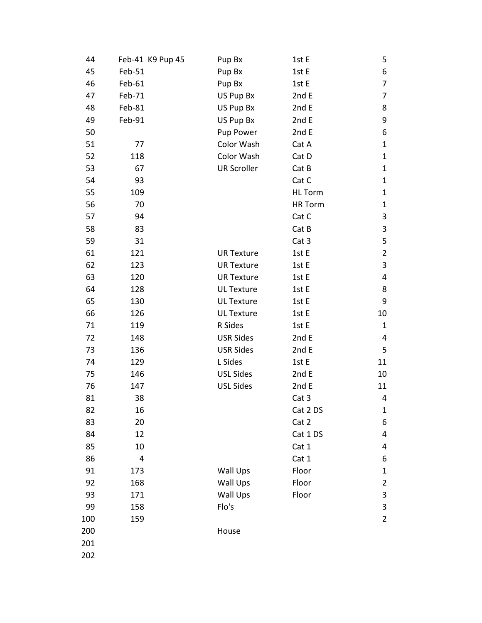| 44  | Feb-41 K9 Pup 45 | Pup Bx             | 1st E          | 5              |
|-----|------------------|--------------------|----------------|----------------|
| 45  | Feb-51           | Pup Bx             | 1st E          | 6              |
| 46  | Feb-61           | Pup Bx             | 1st E          | $\overline{7}$ |
| 47  | Feb-71           | US Pup Bx          | 2nd E          | 7              |
| 48  | Feb-81           | US Pup Bx          | 2nd E          | 8              |
| 49  | Feb-91           | US Pup Bx          | 2nd E          | 9              |
| 50  |                  | Pup Power          | 2nd E          | 6              |
| 51  | 77               | Color Wash         | Cat A          | $\mathbf{1}$   |
| 52  | 118              | Color Wash         | Cat D          | $\mathbf{1}$   |
| 53  | 67               | <b>UR Scroller</b> | Cat B          | $\mathbf{1}$   |
| 54  | 93               |                    | Cat C          | $\mathbf{1}$   |
| 55  | 109              |                    | <b>HL</b> Torm | $\mathbf{1}$   |
| 56  | 70               |                    | <b>HR Torm</b> | $\mathbf{1}$   |
| 57  | 94               |                    | Cat C          | 3              |
| 58  | 83               |                    | Cat B          | 3              |
| 59  | 31               |                    | Cat 3          | 5              |
| 61  | 121              | <b>UR Texture</b>  | 1st E          | $\overline{2}$ |
| 62  | 123              | <b>UR Texture</b>  | 1st E          | 3              |
| 63  | 120              | <b>UR Texture</b>  | 1st E          | 4              |
| 64  | 128              | <b>UL Texture</b>  | 1st E          | 8              |
| 65  | 130              | <b>UL Texture</b>  | 1st E          | 9              |
| 66  | 126              | <b>UL Texture</b>  | 1st E          | 10             |
| 71  | 119              | R Sides            | 1st E          | $\mathbf{1}$   |
| 72  | 148              | <b>USR Sides</b>   | 2nd E          | 4              |
| 73  | 136              | <b>USR Sides</b>   | 2nd E          | 5              |
| 74  | 129              | L Sides            | 1st E          | 11             |
| 75  | 146              | <b>USL Sides</b>   | 2nd E          | 10             |
| 76  | 147              | <b>USL Sides</b>   | 2nd E          | 11             |
| 81  | 38               |                    | Cat 3          | 4              |
| 82  | 16               |                    | Cat 2 DS       | 1              |
| 83  | 20               |                    | Cat 2          | 6              |
| 84  | 12               |                    | Cat 1 DS       | 4              |
| 85  | 10               |                    | Cat 1          | 4              |
| 86  | 4                |                    | Cat 1          | 6              |
| 91  | 173              | Wall Ups           | Floor          | 1              |
| 92  | 168              | Wall Ups           | Floor          | $\overline{2}$ |
| 93  | 171              | <b>Wall Ups</b>    | Floor          | 3              |
| 99  | 158              | Flo's              |                | 3              |
| 100 | 159              |                    |                | $\overline{2}$ |
| 200 |                  | House              |                |                |
| 201 |                  |                    |                |                |
| 202 |                  |                    |                |                |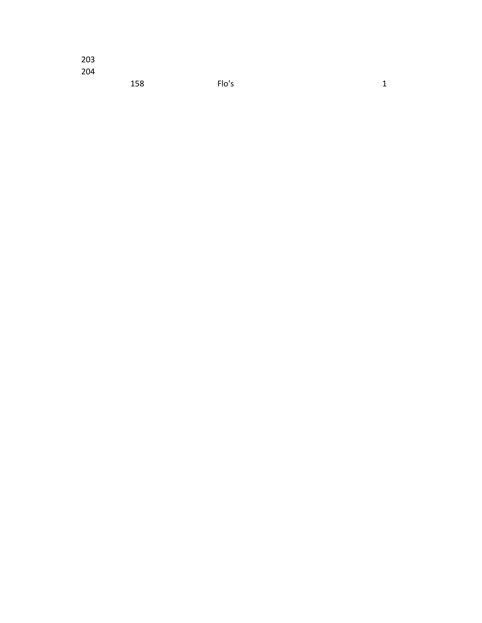| 203 |     |       |              |
|-----|-----|-------|--------------|
| 204 |     |       |              |
|     | 158 | Flo's | $\mathbf{1}$ |